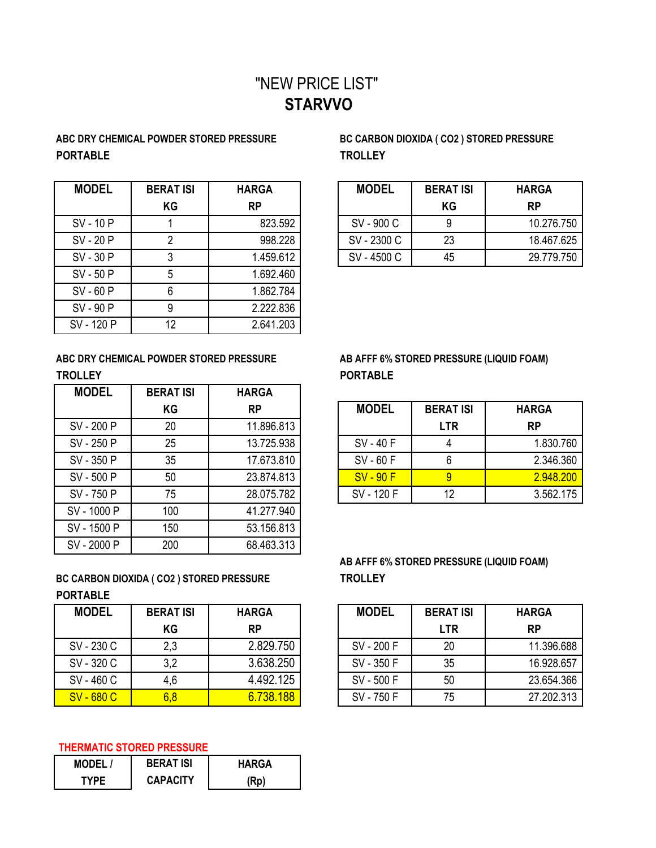## "NEW PRICE LIST" **STARVVO**

## **ABC DRY CHEMICAL POWDER STORED PRESSURE BC CARBON DIOXIDA ( CO2 ) STORED PRESSURE PORTABLE TROLLEY**

| <b>MODEL</b> | <b>BERAT ISI</b> | <b>HARGA</b> | <b>MODEL</b> | <b>BERAT ISI</b> | <b>HARGA</b> |
|--------------|------------------|--------------|--------------|------------------|--------------|
|              | KG               | <b>RP</b>    |              | <b>KG</b>        | <b>RP</b>    |
| SV - 10 P    |                  | 823.592      | SV-900 C     |                  | 10.27        |
| SV-20P       |                  | 998.228      | SV-2300 C    | 23               | 18.46        |
| SV-30 P      |                  | 1.459.612    | SV-4500 C    | 45               | 29.77        |
| SV-50 P      | 5                | 1.692.460    |              |                  |              |
| $SV - 60 P$  | 6                | 1.862.784    |              |                  |              |
| SV-90 P      |                  | 2.222.836    |              |                  |              |
| SV - 120 P   | 12               | 2.641.203    |              |                  |              |

| <b>MODEL</b> | <b>BERAT ISI</b> | <b>HARGA</b> | <b>MODEL</b> | <b>BERAT ISI</b> | <b>HARGA</b> |
|--------------|------------------|--------------|--------------|------------------|--------------|
|              | ΚG               | RP           |              | ΚG               | <b>RP</b>    |
| SV - 10 P    |                  | 823.592      | SV-900 C     |                  | 10.276.750   |
| SV - 20 P    |                  | 998.228      | SV - 2300 C  | 23               | 18.467.625   |
| SV - 30 P    |                  | 1.459.612    | SV-4500 C    | 45               | 29.779.750   |

ABC DRY CHEMICAL POWDER STORED PRESSURE AB AFFF 6% STORED PRESSURE (LIQUID FOAM) **TROLLEY PORTABLE**

| <b>MODEL</b> | <b>BERAT ISI</b> | <b>HARGA</b> |              |                  |                |
|--------------|------------------|--------------|--------------|------------------|----------------|
|              | KG               | <b>RP</b>    | <b>MODEL</b> | <b>BERAT ISI</b> | <b>HAR</b>     |
| SV - 200 P   | 20               | 11.896.813   |              | <b>LTR</b>       | <b>RP</b>      |
| SV - 250 P   | 25               | 13.725.938   | SV-40F       | 4                | 1.             |
| SV - 350 P   | 35               | 17.673.810   | SV-60F       | 6                | $\overline{2}$ |
| SV - 500 P   | 50               | 23.874.813   | $SV - 90 F$  | 9                | $\overline{2}$ |
| SV - 750 P   | 75               | 28.075.782   | SV - 120 F   | 12               | 3              |
| SV - 1000 P  | 100              | 41.277.940   |              |                  |                |
| SV - 1500 P  | 150              | 53.156.813   |              |                  |                |
| SV-2000 P    | 200              | 68.463.313   |              |                  |                |

**BC CARBON DIOXIDA ( CO2 ) STORED PRESSURE TROLLEY PORTABLE**

| <b>MODEL</b> | <b>BERAT ISI</b> | <b>HARGA</b> | <b>MODEL</b> | <b>BERAT ISI</b> | <b>HARGA</b> |
|--------------|------------------|--------------|--------------|------------------|--------------|
|              | KG               | <b>RP</b>    |              | <b>LTR</b>       | <b>RP</b>    |
| SV - 230 C   | 2,3              | 2.829.750    | SV - 200 F   | 20               | 11.39        |
| SV - 320 C   | 3,2              | 3.638.250    | SV - 350 F   | 35               | 16.92        |
| SV - 460 C   | 4,6              | 4.492.125    | SV - 500 F   | 50               | 23.65        |
| SV-680 C     | 6,8              | 6.738.188    | SV - 750 F   | 75               | 27.20        |

## **THERMATIC STORED PRESSURE**

| <b>MODEL/</b> | <b>BERAT ISI</b> | <b>HARGA</b> |  |  |
|---------------|------------------|--------------|--|--|
| TYPF          | <b>CAPACITY</b>  | (Rp)         |  |  |

|            | KG | <b>RP</b>  | <b>MODEL</b> | <b>BERAT ISI</b> | <b>HARGA</b> |
|------------|----|------------|--------------|------------------|--------------|
| SV - 200 P | 20 | 11.896.813 |              | <b>LTR</b>       | <b>RP</b>    |
| SV - 250 P | 25 | 13.725.938 | SV - 40 F    |                  | 1.830.760    |
| SV - 350 P | 35 | 17.673.810 | SV-60F       |                  | 2.346.360    |
| SV - 500 P | 50 | 23.874.813 | $SV - 90 F$  |                  | 2.948.200    |
| SV - 750 P | 75 | 28.075.782 | SV - 120 F   | 12               | 3.562.175    |

## **AB AFFF 6% STORED PRESSURE (LIQUID FOAM)**

| <b>MODEL</b>      | <b>BERAT ISI</b> | <b>HARGA</b> | <b>MODEL</b> | <b>BERAT ISI</b> | <b>HARGA</b> |
|-------------------|------------------|--------------|--------------|------------------|--------------|
|                   | ΚG               | <b>RP</b>    |              | <b>LTR</b>       | <b>RP</b>    |
| SV - 230 C        | 2,3              | 2.829.750    | SV - 200 F   | 20               | 11.396.688   |
| SV - 320 C        | 3,2              | 3.638.250    | SV - 350 F   | 35               | 16.928.657   |
| SV - 460 C        | 4,6              | 4.492.125    | SV-500F      | 50               | 23.654.366   |
| <b>SV - 680 C</b> | 6,8              | 6.738.188    | SV - 750 F   | 75               | 27.202.313   |